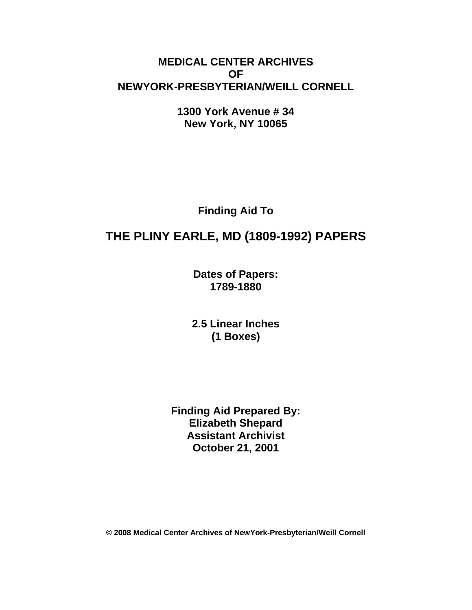## **MEDICAL CENTER ARCHIVES OF NEWYORK-PRESBYTERIAN/WEILL CORNELL**

**1300 York Avenue # 34 New York, NY 10065** 

**Finding Aid To** 

# **THE PLINY EARLE, MD (1809-1992) PAPERS**

**Dates of Papers: 1789-1880**

**2.5 Linear Inches (1 Boxes)** 

**Finding Aid Prepared By: Elizabeth Shepard Assistant Archivist October 21, 2001** 

**© 2008 Medical Center Archives of NewYork-Presbyterian/Weill Cornell**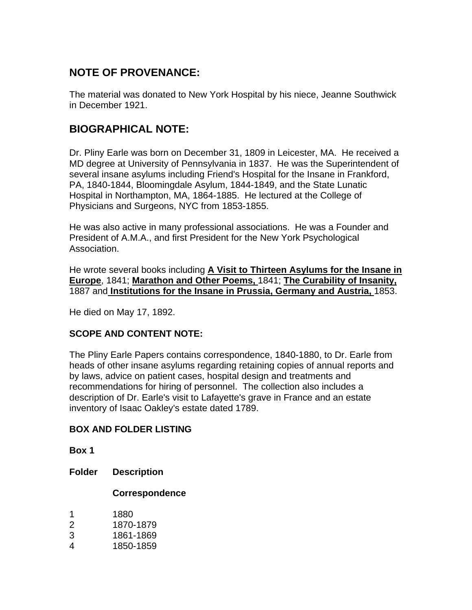# **NOTE OF PROVENANCE:**

The material was donated to New York Hospital by his niece, Jeanne Southwick in December 1921.

### **BIOGRAPHICAL NOTE:**

Dr. Pliny Earle was born on December 31, 1809 in Leicester, MA. He received a MD degree at University of Pennsylvania in 1837. He was the Superintendent of several insane asylums including Friend's Hospital for the Insane in Frankford, PA, 1840-1844, Bloomingdale Asylum, 1844-1849, and the State Lunatic Hospital in Northampton, MA, 1864-1885. He lectured at the College of Physicians and Surgeons, NYC from 1853-1855.

He was also active in many professional associations. He was a Founder and President of A.M.A., and first President for the New York Psychological Association.

He wrote several books including **A Visit to Thirteen Asylums for the Insane in Europe**, 1841; **Marathon and Other Poems,** 1841; **The Curability of Insanity,** 1887 and **Institutions for the Insane in Prussia, Germany and Austria,** 1853.

He died on May 17, 1892.

#### **SCOPE AND CONTENT NOTE:**

The Pliny Earle Papers contains correspondence, 1840-1880, to Dr. Earle from heads of other insane asylums regarding retaining copies of annual reports and by laws, advice on patient cases, hospital design and treatments and recommendations for hiring of personnel. The collection also includes a description of Dr. Earle's visit to Lafayette's grave in France and an estate inventory of Isaac Oakley's estate dated 1789.

#### **BOX AND FOLDER LISTING**

**Box 1** 

**Folder Description** 

#### **Correspondence**

- 2 1870-1879
- 3 1861-1869
- 4 1850-1859